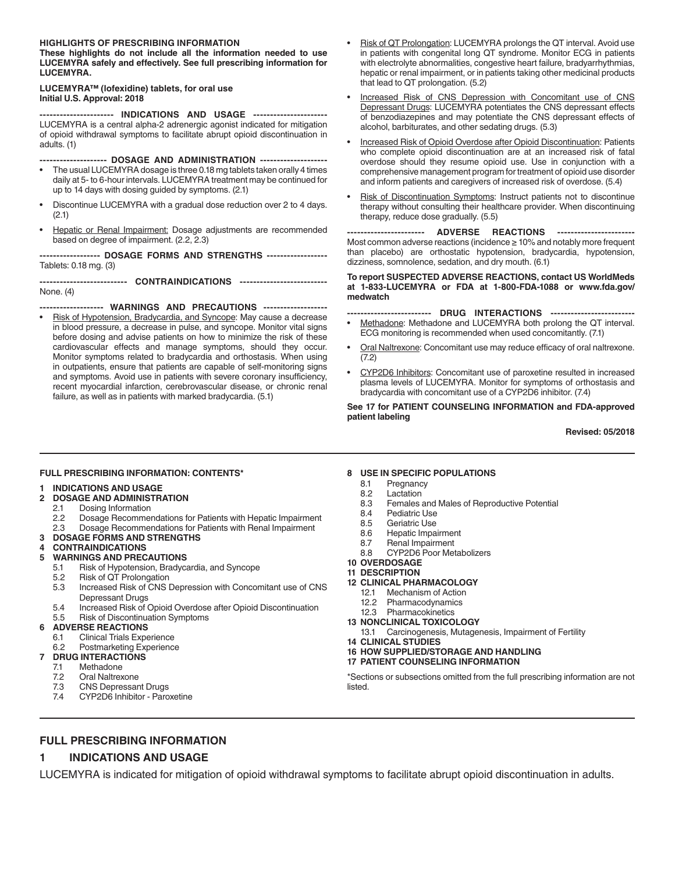#### **HIGHLIGHTS OF PRESCRIBING INFORMATION**

**These highlights do not include all the information needed to use LUCEMYRA safely and effectively. See full prescribing information for LUCEMYRA.**

#### **LUCEMYRA™ (lofexidine) tablets, for oral use Initial U.S. Approval: 2018**

**---------------------- INDICATIONS AND USAGE ----------------------** LUCEMYRA is a central alpha-2 adrenergic agonist indicated for mitigation of opioid withdrawal symptoms to facilitate abrupt opioid discontinuation in adults. (1)

**-------------------- DOSAGE AND ADMINISTRATION --------------------**

- The usual LUCEMYRA dosage is three 0.18 mg tablets taken orally 4 times daily at 5- to 6-hour intervals. LUCEMYRA treatment may be continued for up to 14 days with dosing guided by symptoms. (2.1)
- Discontinue LUCEMYRA with a gradual dose reduction over 2 to 4 days. (2.1)
- Hepatic or Renal Impairment: Dosage adjustments are recommended based on degree of impairment. (2.2, 2.3)

**------------------ DOSAGE FORMS AND STRENGTHS ------------------** Tablets: 0.18 mg. (3)

**-------------------------- CONTRAINDICATIONS --------------------------** None. (4)

**------------------- WARNINGS AND PRECAUTIONS -------------------** • Risk of Hypotension, Bradycardia, and Syncope: May cause a decrease in blood pressure, a decrease in pulse, and syncope. Monitor vital signs before dosing and advise patients on how to minimize the risk of these cardiovascular effects and manage symptoms, should they occur. Monitor symptoms related to bradycardia and orthostasis. When using in outpatients, ensure that patients are capable of self-monitoring signs and symptoms. Avoid use in patients with severe coronary insufficiency, recent myocardial infarction, cerebrovascular disease, or chronic renal failure, as well as in patients with marked bradycardia. (5.1)

- Risk of QT Prolongation: LUCEMYRA prolongs the QT interval. Avoid use in patients with congenital long QT syndrome. Monitor ECG in patients with electrolyte abnormalities, congestive heart failure, bradyarrhythmias, hepatic or renal impairment, or in patients taking other medicinal products that lead to QT prolongation. (5.2)
- Increased Risk of CNS Depression with Concomitant use of CNS Depressant Drugs: LUCEMYRA potentiates the CNS depressant effects of benzodiazepines and may potentiate the CNS depressant effects of alcohol, barbiturates, and other sedating drugs. (5.3)
- Increased Risk of Opioid Overdose after Opioid Discontinuation: Patients who complete opioid discontinuation are at an increased risk of fatal overdose should they resume opioid use. Use in conjunction with a comprehensive management program for treatment of opioid use disorder and inform patients and caregivers of increased risk of overdose. (5.4)
- Risk of Discontinuation Symptoms: Instruct patients not to discontinue therapy without consulting their healthcare provider. When discontinuing therapy, reduce dose gradually. (5.5)

**----------------------- ADVERSE REACTIONS -----------------------** Most common adverse reactions (incidence ≥ 10% and notably more frequent than placebo) are orthostatic hypotension, bradycardia, hypotension, dizziness, somnolence, sedation, and dry mouth. (6.1)

#### **To report SUSPECTED ADVERSE REACTIONS, contact US WorldMeds at 1-833-LUCEMYRA or FDA at 1-800-FDA-1088 or www.fda.gov/ medwatch**

- **------------------------- DRUG INTERACTIONS -------------------------**
- Methadone: Methadone and LUCEMYRA both prolong the QT interval. ECG monitoring is recommended when used concomitantly. (7.1)
- Oral Naltrexone: Concomitant use may reduce efficacy of oral naltrexone. (7.2)
- CYP2D6 Inhibitors: Concomitant use of paroxetine resulted in increased plasma levels of LUCEMYRA. Monitor for symptoms of orthostasis and bradycardia with concomitant use of a CYP2D6 inhibitor. (7.4)

**See 17 for PATIENT COUNSELING INFORMATION and FDA-approved patient labeling**

**Revised: 05/2018**

#### **FULL PRESCRIBING INFORMATION: CONTENTS\***

#### **1 INDICATIONS AND USAGE**

#### **2 DOSAGE AND ADMINISTRATION**

- 2.1 Dosing Information
- 2.2 Dosage Recommendations for Patients with Hepatic Impairment
- 2.3 Dosage Recommendations for Patients with Renal Impairment
- **3 DOSAGE FORMS AND STRENGTHS**

#### **4 CONTRAINDICATIONS**

#### **5 WARNINGS AND PRECAUTIONS**

- 5.1 Risk of Hypotension, Bradycardia, and Syncope
- 5.2 Risk of QT Prolongation
- 5.3 Increased Risk of CNS Depression with Concomitant use of CNS
- Depressant Drugs
- 5.4 Increased Risk of Opioid Overdose after Opioid Discontinuation 5.5 Risk of Discontinuation Symptoms

#### **6 ADVERSE REACTIONS**

- 6.1 Clinical Trials Experience
- 6.2 Postmarketing Experience
- **7 DRUG INTERACTIONS**
	- 7.1 Methadone
	- 7.2 Oral Naltrexone
	- 7.3 CNS Depressant Drugs
	- 7.4 CYP2D6 Inhibitor Paroxetine

#### **8 USE IN SPECIFIC POPULATIONS**

- 8.1 Pregnancy
- 8.2 Lactation
- 8.3 Females and Males of Reproductive Potential
- 8.4 Pediatric Use
- 8.5 Geriatric Use
- 8.6 Hepatic Impairment
- 8.7 Renal Impairment
- 8.8 CYP2D6 Poor Metabolizers
- **10 OVERDOSAGE**
- **11 DESCRIPTION**
- **12 CLINICAL PHARMACOLOGY**
	- 12.1 Mechanism of Action
	- 12.2 Pharmacodynamics
	- 12.3 Pharmacokinetics
- **13 NONCLINICAL TOXICOLOGY** 13.1 Carcinogenesis, Mutagenesis, Impairment of Fertility
- **14 CLINICAL STUDIES**
- **16 HOW SUPPLIED/STORAGE AND HANDLING**
- **17 PATIENT COUNSELING INFORMATION**
- 

\*Sections or subsections omitted from the full prescribing information are not listed.

### **FULL PRESCRIBING INFORMATION**

### **1 INDICATIONS AND USAGE**

LUCEMYRA is indicated for mitigation of opioid withdrawal symptoms to facilitate abrupt opioid discontinuation in adults.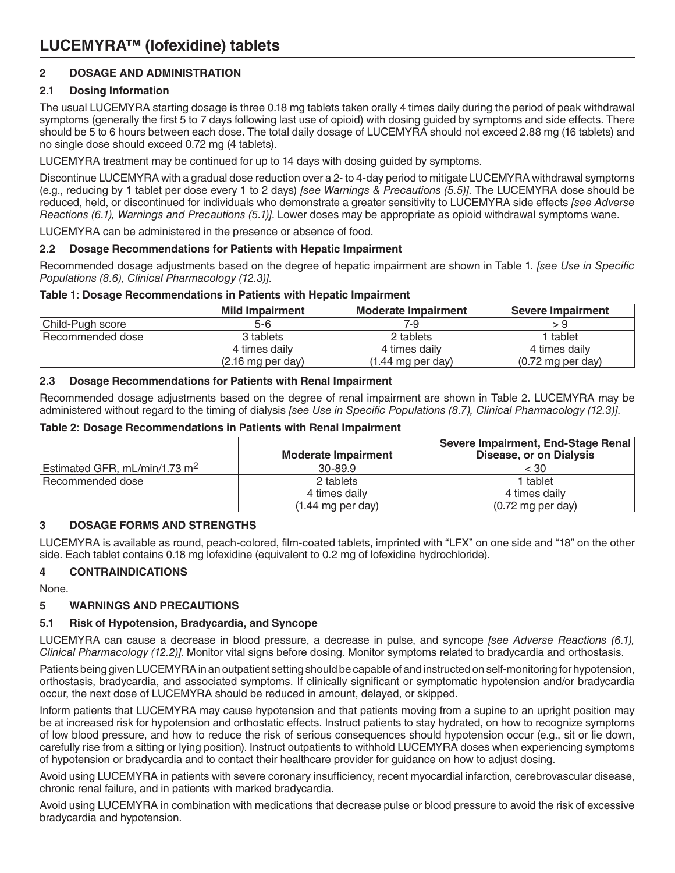# **2 DOSAGE AND ADMINISTRATION**

# **2.1 Dosing Information**

The usual LUCEMYRA starting dosage is three 0.18 mg tablets taken orally 4 times daily during the period of peak withdrawal symptoms (generally the first 5 to 7 days following last use of opioid) with dosing guided by symptoms and side effects. There should be 5 to 6 hours between each dose. The total daily dosage of LUCEMYRA should not exceed 2.88 mg (16 tablets) and no single dose should exceed 0.72 mg (4 tablets).

LUCEMYRA treatment may be continued for up to 14 days with dosing guided by symptoms.

Discontinue LUCEMYRA with a gradual dose reduction over a 2- to 4-day period to mitigate LUCEMYRA withdrawal symptoms (e.g., reducing by 1 tablet per dose every 1 to 2 days) *[see Warnings & Precautions (5.5)]*. The LUCEMYRA dose should be reduced, held, or discontinued for individuals who demonstrate a greater sensitivity to LUCEMYRA side effects *[see Adverse Reactions (6.1), Warnings and Precautions (5.1)]*. Lower doses may be appropriate as opioid withdrawal symptoms wane.

LUCEMYRA can be administered in the presence or absence of food.

## **2.2 Dosage Recommendations for Patients with Hepatic Impairment**

Recommended dosage adjustments based on the degree of hepatic impairment are shown in Table 1. *[see Use in Specific Populations (8.6), Clinical Pharmacology (12.3)]*.

## **Table 1: Dosage Recommendations in Patients with Hepatic Impairment**

|                  | <b>Mild Impairment</b>      | <b>Moderate Impairment</b>  | <b>Severe Impairment</b>    |
|------------------|-----------------------------|-----------------------------|-----------------------------|
| Child-Pugh score | 5-6                         | 7-9                         |                             |
| Recommended dose | 3 tablets                   | 2 tablets                   | l tablet                    |
|                  | 4 times daily               | 4 times daily               | 4 times daily               |
|                  | $(2.16 \text{ mg per day})$ | $(1.44 \text{ mg per day})$ | $(0.72 \text{ mg per day})$ |

## **2.3 Dosage Recommendations for Patients with Renal Impairment**

Recommended dosage adjustments based on the degree of renal impairment are shown in Table 2. LUCEMYRA may be administered without regard to the timing of dialysis *[see Use in Specific Populations (8.7), Clinical Pharmacology (12.3)]*.

## **Table 2: Dosage Recommendations in Patients with Renal Impairment**

|                                 |                             | Severe Impairment, End-Stage Renal |
|---------------------------------|-----------------------------|------------------------------------|
|                                 | <b>Moderate Impairment</b>  | <b>Disease, or on Dialysis</b>     |
| Estimated GFR, $mL/min/1.73 m2$ | 30-89.9                     | $<$ 30                             |
| Recommended dose                | 2 tablets                   | l tablet                           |
|                                 | 4 times daily               | 4 times daily                      |
|                                 | $(1.44 \text{ mg per day})$ | $(0.72 \text{ mg per day})$        |

# **3 DOSAGE FORMS AND STRENGTHS**

LUCEMYRA is available as round, peach-colored, film-coated tablets, imprinted with "LFX" on one side and "18" on the other side. Each tablet contains 0.18 mg lofexidine (equivalent to 0.2 mg of lofexidine hydrochloride).

# **4 CONTRAINDICATIONS**

None.

# **5 WARNINGS AND PRECAUTIONS**

## **5.1 Risk of Hypotension, Bradycardia, and Syncope**

LUCEMYRA can cause a decrease in blood pressure, a decrease in pulse, and syncope *[see Adverse Reactions (6.1), Clinical Pharmacology (12.2)]*. Monitor vital signs before dosing. Monitor symptoms related to bradycardia and orthostasis.

Patients being given LUCEMYRA in an outpatient setting should be capable of and instructed on self-monitoring for hypotension, orthostasis, bradycardia, and associated symptoms. If clinically significant or symptomatic hypotension and/or bradycardia occur, the next dose of LUCEMYRA should be reduced in amount, delayed, or skipped.

Inform patients that LUCEMYRA may cause hypotension and that patients moving from a supine to an upright position may be at increased risk for hypotension and orthostatic effects. Instruct patients to stay hydrated, on how to recognize symptoms of low blood pressure, and how to reduce the risk of serious consequences should hypotension occur (e.g., sit or lie down, carefully rise from a sitting or lying position). Instruct outpatients to withhold LUCEMYRA doses when experiencing symptoms of hypotension or bradycardia and to contact their healthcare provider for guidance on how to adjust dosing.

Avoid using LUCEMYRA in patients with severe coronary insufficiency, recent myocardial infarction, cerebrovascular disease, chronic renal failure, and in patients with marked bradycardia.

Avoid using LUCEMYRA in combination with medications that decrease pulse or blood pressure to avoid the risk of excessive bradycardia and hypotension.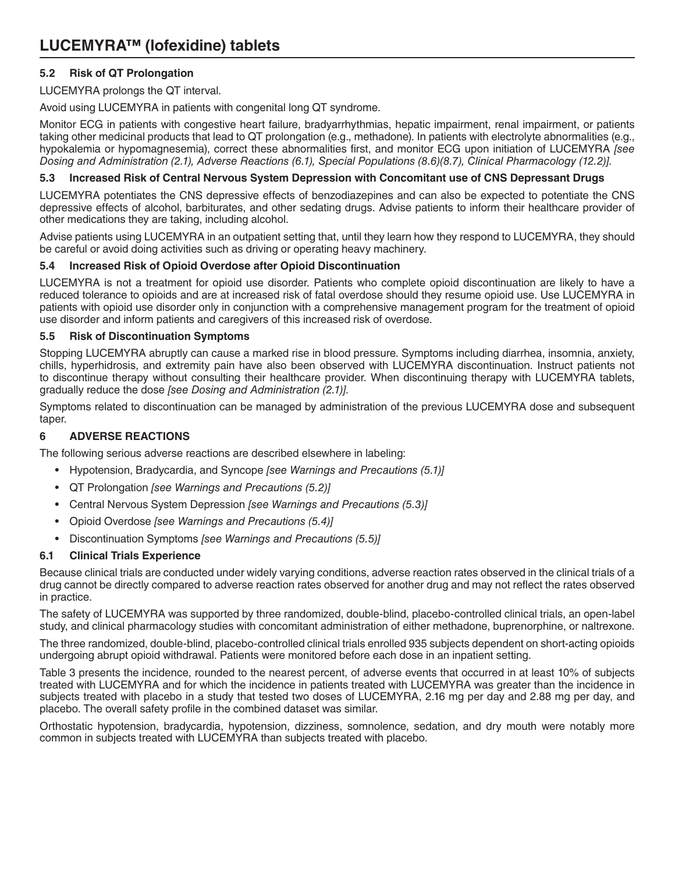# **5.2 Risk of QT Prolongation**

LUCEMYRA prolongs the QT interval.

Avoid using LUCEMYRA in patients with congenital long QT syndrome.

Monitor ECG in patients with congestive heart failure, bradyarrhythmias, hepatic impairment, renal impairment, or patients taking other medicinal products that lead to QT prolongation (e.g., methadone). In patients with electrolyte abnormalities (e.g., hypokalemia or hypomagnesemia), correct these abnormalities first, and monitor ECG upon initiation of LUCEMYRA *[see Dosing and Administration (2.1), Adverse Reactions (6.1), Special Populations (8.6)(8.7), Clinical Pharmacology (12.2)]*.

## **5.3 Increased Risk of Central Nervous System Depression with Concomitant use of CNS Depressant Drugs**

LUCEMYRA potentiates the CNS depressive effects of benzodiazepines and can also be expected to potentiate the CNS depressive effects of alcohol, barbiturates, and other sedating drugs. Advise patients to inform their healthcare provider of other medications they are taking, including alcohol.

Advise patients using LUCEMYRA in an outpatient setting that, until they learn how they respond to LUCEMYRA, they should be careful or avoid doing activities such as driving or operating heavy machinery.

## **5.4 Increased Risk of Opioid Overdose after Opioid Discontinuation**

LUCEMYRA is not a treatment for opioid use disorder. Patients who complete opioid discontinuation are likely to have a reduced tolerance to opioids and are at increased risk of fatal overdose should they resume opioid use. Use LUCEMYRA in patients with opioid use disorder only in conjunction with a comprehensive management program for the treatment of opioid use disorder and inform patients and caregivers of this increased risk of overdose.

## **5.5 Risk of Discontinuation Symptoms**

Stopping LUCEMYRA abruptly can cause a marked rise in blood pressure. Symptoms including diarrhea, insomnia, anxiety, chills, hyperhidrosis, and extremity pain have also been observed with LUCEMYRA discontinuation. Instruct patients not to discontinue therapy without consulting their healthcare provider. When discontinuing therapy with LUCEMYRA tablets, gradually reduce the dose *[see Dosing and Administration (2.1)]*.

Symptoms related to discontinuation can be managed by administration of the previous LUCEMYRA dose and subsequent taper.

# **6 ADVERSE REACTIONS**

The following serious adverse reactions are described elsewhere in labeling:

- Hypotension, Bradycardia, and Syncope *[see Warnings and Precautions (5.1)]*
- QT Prolongation *[see Warnings and Precautions (5.2)]*
- Central Nervous System Depression *[see Warnings and Precautions (5.3)]*
- Opioid Overdose *[see Warnings and Precautions (5.4)]*
- Discontinuation Symptoms *[see Warnings and Precautions (5.5)]*

# **6.1 Clinical Trials Experience**

Because clinical trials are conducted under widely varying conditions, adverse reaction rates observed in the clinical trials of a drug cannot be directly compared to adverse reaction rates observed for another drug and may not reflect the rates observed in practice.

The safety of LUCEMYRA was supported by three randomized, double-blind, placebo-controlled clinical trials, an open-label study, and clinical pharmacology studies with concomitant administration of either methadone, buprenorphine, or naltrexone.

The three randomized, double-blind, placebo-controlled clinical trials enrolled 935 subjects dependent on short-acting opioids undergoing abrupt opioid withdrawal. Patients were monitored before each dose in an inpatient setting.

Table 3 presents the incidence, rounded to the nearest percent, of adverse events that occurred in at least 10% of subjects treated with LUCEMYRA and for which the incidence in patients treated with LUCEMYRA was greater than the incidence in subjects treated with placebo in a study that tested two doses of LUCEMYRA, 2.16 mg per day and 2.88 mg per day, and placebo. The overall safety profile in the combined dataset was similar.

Orthostatic hypotension, bradycardia, hypotension, dizziness, somnolence, sedation, and dry mouth were notably more common in subjects treated with LUCEMYRA than subjects treated with placebo.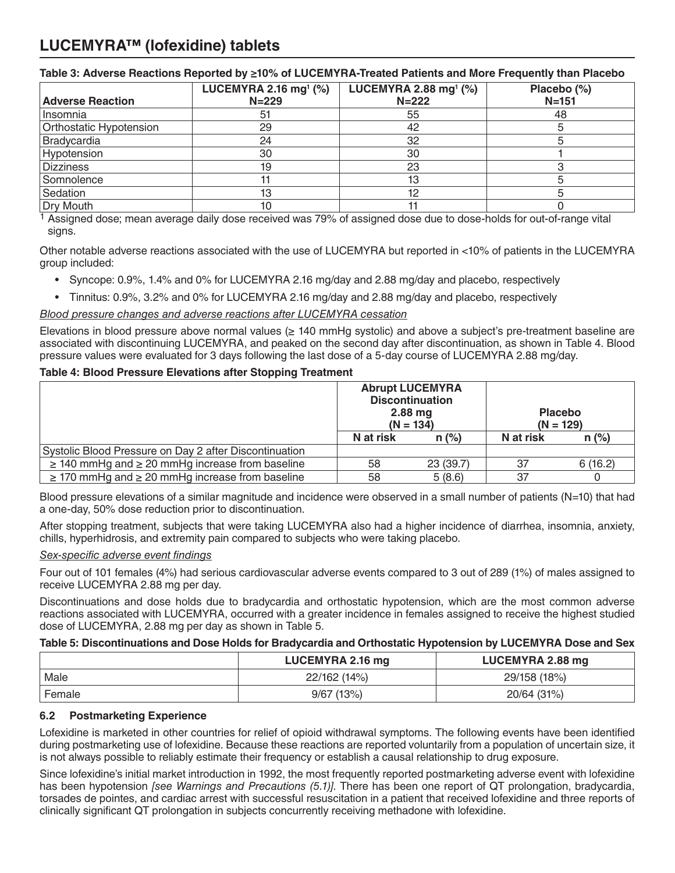|                         | LUCEMYRA 2.88 mg <sup>1</sup> $(\%)$<br>LUCEMYRA 2.16 mg <sup>1</sup> $(\%)$ |           | Placebo (%) |  |
|-------------------------|------------------------------------------------------------------------------|-----------|-------------|--|
| <b>Adverse Reaction</b> | $N = 229$                                                                    | $N = 222$ | $N = 151$   |  |
| Insomnia                | -51                                                                          | 55        | 48          |  |
| Orthostatic Hypotension | 29                                                                           | 42        |             |  |
| Bradycardia             | 24                                                                           | 32        |             |  |
| Hypotension             | 30                                                                           | 30        |             |  |
| <b>Dizziness</b>        | 19                                                                           | 23        |             |  |
| Somnolence              |                                                                              | 13        |             |  |
| Sedation                | 13                                                                           |           |             |  |
| Dry Mouth               | 10                                                                           |           |             |  |

1 Assigned dose; mean average daily dose received was 79% of assigned dose due to dose-holds for out-of-range vital signs.

Other notable adverse reactions associated with the use of LUCEMYRA but reported in <10% of patients in the LUCEMYRA group included:

- Syncope: 0.9%, 1.4% and 0% for LUCEMYRA 2.16 mg/day and 2.88 mg/day and placebo, respectively
- Tinnitus: 0.9%, 3.2% and 0% for LUCEMYRA 2.16 mg/day and 2.88 mg/day and placebo, respectively

## *Blood pressure changes and adverse reactions after LUCEMYRA cessation*

Elevations in blood pressure above normal values (≥ 140 mmHg systolic) and above a subject's pre-treatment baseline are associated with discontinuing LUCEMYRA, and peaked on the second day after discontinuation, as shown in Table 4. Blood pressure values were evaluated for 3 days following the last dose of a 5-day course of LUCEMYRA 2.88 mg/day.

## **Table 4: Blood Pressure Elevations after Stopping Treatment**

|                                                           | <b>Abrupt LUCEMYRA</b><br><b>Discontinuation</b><br>$2.88$ mg<br>$(N = 134)$ |           | <b>Placebo</b><br>$(N = 129)$ |          |
|-----------------------------------------------------------|------------------------------------------------------------------------------|-----------|-------------------------------|----------|
|                                                           | N at risk                                                                    | $n (\%)$  | N at risk                     | $n (\%)$ |
| Systolic Blood Pressure on Day 2 after Discontinuation    |                                                                              |           |                               |          |
| $\geq$ 140 mmHg and $\geq$ 20 mmHg increase from baseline | 58                                                                           | 23 (39.7) | 37                            | 6(16.2)  |
| $\geq$ 170 mmHg and $\geq$ 20 mmHg increase from baseline | 58                                                                           | 5(8.6)    | 37                            |          |

Blood pressure elevations of a similar magnitude and incidence were observed in a small number of patients (N=10) that had a one-day, 50% dose reduction prior to discontinuation.

After stopping treatment, subjects that were taking LUCEMYRA also had a higher incidence of diarrhea, insomnia, anxiety, chills, hyperhidrosis, and extremity pain compared to subjects who were taking placebo.

### *Sex-specific adverse event findings*

Four out of 101 females (4%) had serious cardiovascular adverse events compared to 3 out of 289 (1%) of males assigned to receive LUCEMYRA 2.88 mg per day.

Discontinuations and dose holds due to bradycardia and orthostatic hypotension, which are the most common adverse reactions associated with LUCEMYRA, occurred with a greater incidence in females assigned to receive the highest studied dose of LUCEMYRA, 2.88 mg per day as shown in Table 5.

### **Table 5: Discontinuations and Dose Holds for Bradycardia and Orthostatic Hypotension by LUCEMYRA Dose and Sex**

|        | LUCEMYRA 2.16 mg | LUCEMYRA 2.88 mg |  |  |
|--------|------------------|------------------|--|--|
| Male   | 22/162 (14%)     | 29/158 (18%)     |  |  |
| Female | $9/67$ (13%)     | 20/64 (31%)      |  |  |

### **6.2 Postmarketing Experience**

Lofexidine is marketed in other countries for relief of opioid withdrawal symptoms. The following events have been identified during postmarketing use of lofexidine. Because these reactions are reported voluntarily from a population of uncertain size, it is not always possible to reliably estimate their frequency or establish a causal relationship to drug exposure.

Since lofexidine's initial market introduction in 1992, the most frequently reported postmarketing adverse event with lofexidine has been hypotension *[see Warnings and Precautions (5.1)]*. There has been one report of QT prolongation, bradycardia, torsades de pointes, and cardiac arrest with successful resuscitation in a patient that received lofexidine and three reports of clinically significant QT prolongation in subjects concurrently receiving methadone with lofexidine.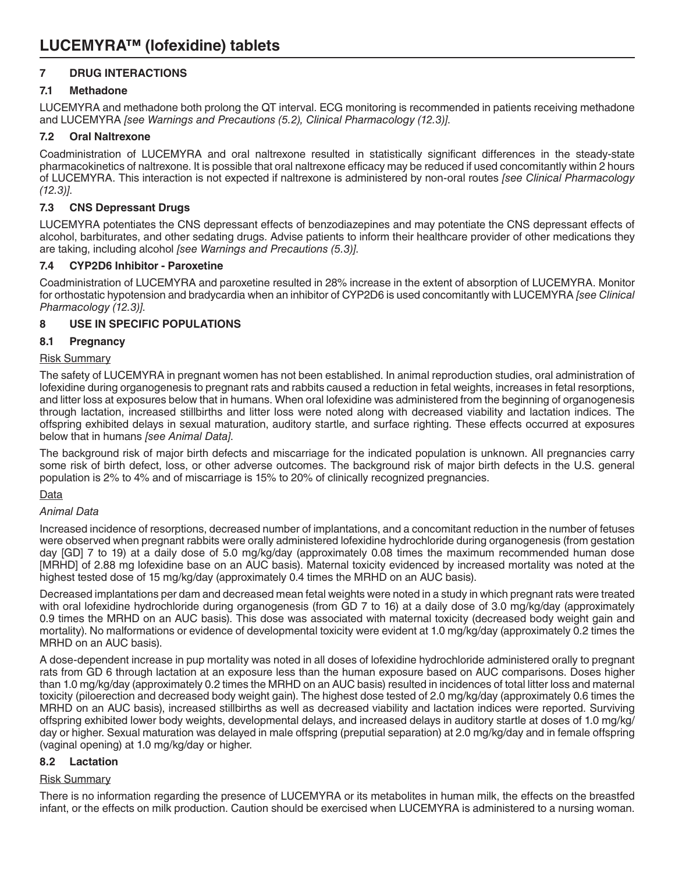# **7 DRUG INTERACTIONS**

## **7.1 Methadone**

LUCEMYRA and methadone both prolong the QT interval. ECG monitoring is recommended in patients receiving methadone and LUCEMYRA *[see Warnings and Precautions (5.2), Clinical Pharmacology (12.3)]*.

## **7.2 Oral Naltrexone**

Coadministration of LUCEMYRA and oral naltrexone resulted in statistically significant differences in the steady-state pharmacokinetics of naltrexone. It is possible that oral naltrexone efficacy may be reduced if used concomitantly within 2 hours of LUCEMYRA. This interaction is not expected if naltrexone is administered by non-oral routes *[see Clinical Pharmacology (12.3)]*.

## **7.3 CNS Depressant Drugs**

LUCEMYRA potentiates the CNS depressant effects of benzodiazepines and may potentiate the CNS depressant effects of alcohol, barbiturates, and other sedating drugs. Advise patients to inform their healthcare provider of other medications they are taking, including alcohol *[see Warnings and Precautions (5.3)]*.

## **7.4 CYP2D6 Inhibitor - Paroxetine**

Coadministration of LUCEMYRA and paroxetine resulted in 28% increase in the extent of absorption of LUCEMYRA. Monitor for orthostatic hypotension and bradycardia when an inhibitor of CYP2D6 is used concomitantly with LUCEMYRA *[see Clinical Pharmacology (12.3)]*.

## **8 USE IN SPECIFIC POPULATIONS**

## **8.1 Pregnancy**

## Risk Summary

The safety of LUCEMYRA in pregnant women has not been established. In animal reproduction studies, oral administration of lofexidine during organogenesis to pregnant rats and rabbits caused a reduction in fetal weights, increases in fetal resorptions, and litter loss at exposures below that in humans. When oral lofexidine was administered from the beginning of organogenesis through lactation, increased stillbirths and litter loss were noted along with decreased viability and lactation indices. The offspring exhibited delays in sexual maturation, auditory startle, and surface righting. These effects occurred at exposures below that in humans *[see Animal Data]*.

The background risk of major birth defects and miscarriage for the indicated population is unknown. All pregnancies carry some risk of birth defect, loss, or other adverse outcomes. The background risk of major birth defects in the U.S. general population is 2% to 4% and of miscarriage is 15% to 20% of clinically recognized pregnancies.

# Data

## *Animal Data*

Increased incidence of resorptions, decreased number of implantations, and a concomitant reduction in the number of fetuses were observed when pregnant rabbits were orally administered lofexidine hydrochloride during organogenesis (from gestation day [GD] 7 to 19) at a daily dose of 5.0 mg/kg/day (approximately 0.08 times the maximum recommended human dose [MRHD] of 2.88 mg lofexidine base on an AUC basis). Maternal toxicity evidenced by increased mortality was noted at the highest tested dose of 15 mg/kg/day (approximately 0.4 times the MRHD on an AUC basis).

Decreased implantations per dam and decreased mean fetal weights were noted in a study in which pregnant rats were treated with oral lofexidine hydrochloride during organogenesis (from GD 7 to 16) at a daily dose of 3.0 mg/kg/day (approximately 0.9 times the MRHD on an AUC basis). This dose was associated with maternal toxicity (decreased body weight gain and mortality). No malformations or evidence of developmental toxicity were evident at 1.0 mg/kg/day (approximately 0.2 times the MRHD on an AUC basis).

A dose-dependent increase in pup mortality was noted in all doses of lofexidine hydrochloride administered orally to pregnant rats from GD 6 through lactation at an exposure less than the human exposure based on AUC comparisons. Doses higher than 1.0 mg/kg/day (approximately 0.2 times the MRHD on an AUC basis) resulted in incidences of total litter loss and maternal toxicity (piloerection and decreased body weight gain). The highest dose tested of 2.0 mg/kg/day (approximately 0.6 times the MRHD on an AUC basis), increased stillbirths as well as decreased viability and lactation indices were reported. Surviving offspring exhibited lower body weights, developmental delays, and increased delays in auditory startle at doses of 1.0 mg/kg/ day or higher. Sexual maturation was delayed in male offspring (preputial separation) at 2.0 mg/kg/day and in female offspring (vaginal opening) at 1.0 mg/kg/day or higher.

## **8.2 Lactation**

## Risk Summary

There is no information regarding the presence of LUCEMYRA or its metabolites in human milk, the effects on the breastfed infant, or the effects on milk production. Caution should be exercised when LUCEMYRA is administered to a nursing woman.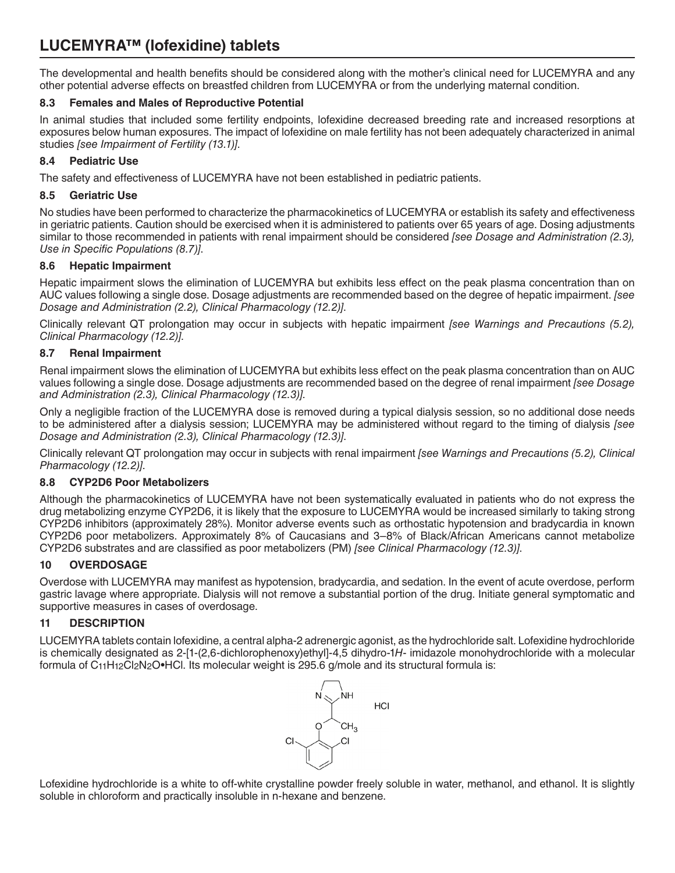The developmental and health benefits should be considered along with the mother's clinical need for LUCEMYRA and any other potential adverse effects on breastfed children from LUCEMYRA or from the underlying maternal condition.

## **8.3 Females and Males of Reproductive Potential**

In animal studies that included some fertility endpoints, lofexidine decreased breeding rate and increased resorptions at exposures below human exposures. The impact of lofexidine on male fertility has not been adequately characterized in animal studies *[see Impairment of Fertility (13.1)]*.

## **8.4 Pediatric Use**

The safety and effectiveness of LUCEMYRA have not been established in pediatric patients.

## **8.5 Geriatric Use**

No studies have been performed to characterize the pharmacokinetics of LUCEMYRA or establish its safety and effectiveness in geriatric patients. Caution should be exercised when it is administered to patients over 65 years of age. Dosing adjustments similar to those recommended in patients with renal impairment should be considered *[see Dosage and Administration (2.3), Use in Specific Populations (8.7)]*.

## **8.6 Hepatic Impairment**

Hepatic impairment slows the elimination of LUCEMYRA but exhibits less effect on the peak plasma concentration than on AUC values following a single dose. Dosage adjustments are recommended based on the degree of hepatic impairment. *[see Dosage and Administration (2.2), Clinical Pharmacology (12.2)]*.

Clinically relevant QT prolongation may occur in subjects with hepatic impairment *[see Warnings and Precautions (5.2), Clinical Pharmacology (12.2)]*.

## **8.7 Renal Impairment**

Renal impairment slows the elimination of LUCEMYRA but exhibits less effect on the peak plasma concentration than on AUC values following a single dose. Dosage adjustments are recommended based on the degree of renal impairment *[see Dosage and Administration (2.3), Clinical Pharmacology (12.3)]*.

Only a negligible fraction of the LUCEMYRA dose is removed during a typical dialysis session, so no additional dose needs to be administered after a dialysis session; LUCEMYRA may be administered without regard to the timing of dialysis *[see Dosage and Administration (2.3), Clinical Pharmacology (12.3)]*.

Clinically relevant QT prolongation may occur in subjects with renal impairment *[see Warnings and Precautions (5.2), Clinical Pharmacology (12.2)]*.

## **8.8 CYP2D6 Poor Metabolizers**

Although the pharmacokinetics of LUCEMYRA have not been systematically evaluated in patients who do not express the drug metabolizing enzyme CYP2D6, it is likely that the exposure to LUCEMYRA would be increased similarly to taking strong CYP2D6 inhibitors (approximately 28%). Monitor adverse events such as orthostatic hypotension and bradycardia in known CYP2D6 poor metabolizers. Approximately 8% of Caucasians and 3–8% of Black/African Americans cannot metabolize CYP2D6 substrates and are classified as poor metabolizers (PM) *[see Clinical Pharmacology (12.3)]*.

## **10 OVERDOSAGE**

Overdose with LUCEMYRA may manifest as hypotension, bradycardia, and sedation. In the event of acute overdose, perform gastric lavage where appropriate. Dialysis will not remove a substantial portion of the drug. Initiate general symptomatic and supportive measures in cases of overdosage.

## **11 DESCRIPTION**

LUCEMYRA tablets contain lofexidine, a central alpha-2 adrenergic agonist, as the hydrochloride salt. Lofexidine hydrochloride is chemically designated as 2-[1-(2,6-dichlorophenoxy)ethyl]-4,5 dihydro-1*H*- imidazole monohydrochloride with a molecular formula of C<sub>11</sub>H<sub>12</sub>Cl<sub>2</sub>N<sub>2</sub>O•HCl. Its molecular weight is 295.6 g/mole and its structural formula is:



Lofexidine hydrochloride is a white to off-white crystalline powder freely soluble in water, methanol, and ethanol. It is slightly soluble in chloroform and practically insoluble in n-hexane and benzene.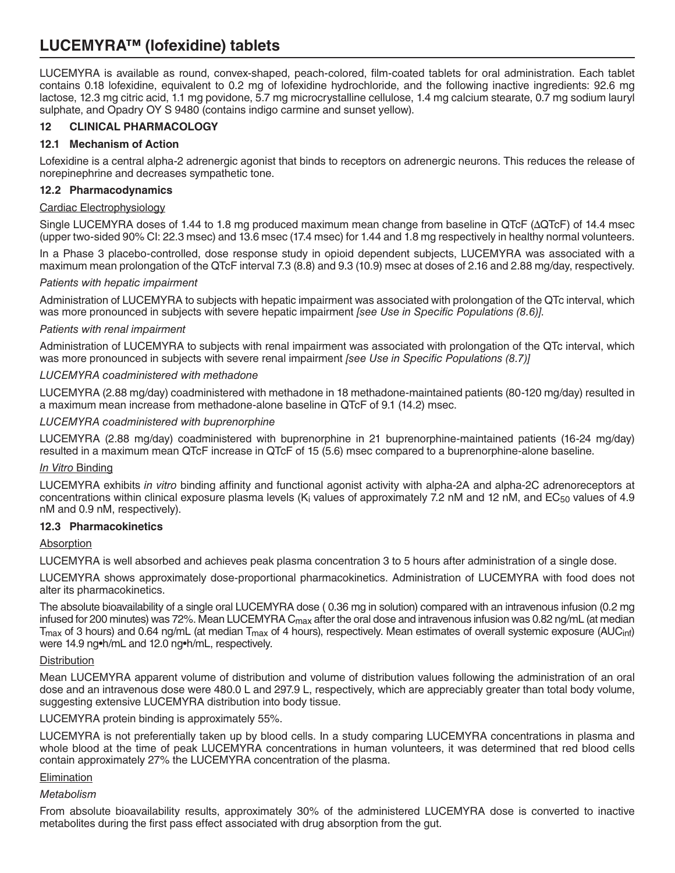LUCEMYRA is available as round, convex-shaped, peach-colored, film-coated tablets for oral administration. Each tablet contains 0.18 lofexidine, equivalent to 0.2 mg of lofexidine hydrochloride, and the following inactive ingredients: 92.6 mg lactose, 12.3 mg citric acid, 1.1 mg povidone, 5.7 mg microcrystalline cellulose, 1.4 mg calcium stearate, 0.7 mg sodium lauryl sulphate, and Opadry OY S 9480 (contains indigo carmine and sunset yellow).

# **12 CLINICAL PHARMACOLOGY**

## **12.1 Mechanism of Action**

Lofexidine is a central alpha-2 adrenergic agonist that binds to receptors on adrenergic neurons. This reduces the release of norepinephrine and decreases sympathetic tone.

## **12.2 Pharmacodynamics**

### Cardiac Electrophysiology

Single LUCEMYRA doses of 1.44 to 1.8 mg produced maximum mean change from baseline in QTcF (ΔQTcF) of 14.4 msec (upper two-sided 90% CI: 22.3 msec) and 13.6 msec (17.4 msec) for 1.44 and 1.8 mg respectively in healthy normal volunteers.

In a Phase 3 placebo-controlled, dose response study in opioid dependent subjects, LUCEMYRA was associated with a maximum mean prolongation of the QTcF interval 7.3 (8.8) and 9.3 (10.9) msec at doses of 2.16 and 2.88 mg/day, respectively.

### *Patients with hepatic impairment*

Administration of LUCEMYRA to subjects with hepatic impairment was associated with prolongation of the QTc interval, which was more pronounced in subjects with severe hepatic impairment *[see Use in Specific Populations (8.6)]*.

## *Patients with renal impairment*

Administration of LUCEMYRA to subjects with renal impairment was associated with prolongation of the QTc interval, which was more pronounced in subjects with severe renal impairment *[see Use in Specific Populations (8.7)]*

## *LUCEMYRA coadministered with methadone*

LUCEMYRA (2.88 mg/day) coadministered with methadone in 18 methadone-maintained patients (80-120 mg/day) resulted in a maximum mean increase from methadone-alone baseline in QTcF of 9.1 (14.2) msec.

*LUCEMYRA coadministered with buprenorphine*

LUCEMYRA (2.88 mg/day) coadministered with buprenorphine in 21 buprenorphine-maintained patients (16-24 mg/day) resulted in a maximum mean QTcF increase in QTcF of 15 (5.6) msec compared to a buprenorphine-alone baseline.

### *In Vitro* Binding

LUCEMYRA exhibits *in vitro* binding affinity and functional agonist activity with alpha-2A and alpha-2C adrenoreceptors at concentrations within clinical exposure plasma levels (K<sub>i</sub> values of approximately 7.2 nM and 12 nM, and EC<sub>50</sub> values of 4.9 nM and 0.9 nM, respectively).

### **12.3 Pharmacokinetics**

### Absorption

LUCEMYRA is well absorbed and achieves peak plasma concentration 3 to 5 hours after administration of a single dose.

LUCEMYRA shows approximately dose-proportional pharmacokinetics. Administration of LUCEMYRA with food does not alter its pharmacokinetics.

The absolute bioavailability of a single oral LUCEMYRA dose ( 0.36 mg in solution) compared with an intravenous infusion (0.2 mg infused for 200 minutes) was 72%. Mean LUCEMYRA C $_{\text{max}}$  after the oral dose and intravenous infusion was 0.82 ng/mL (at median  $T_{\text{max}}$  of 3 hours) and 0.64 ng/mL (at median  $T_{\text{max}}$  of 4 hours), respectively. Mean estimates of overall systemic exposure (AUC<sub>inf</sub>) were 14.9 ng•h/mL and 12.0 ng•h/mL, respectively.

### **Distribution**

Mean LUCEMYRA apparent volume of distribution and volume of distribution values following the administration of an oral dose and an intravenous dose were 480.0 L and 297.9 L, respectively, which are appreciably greater than total body volume, suggesting extensive LUCEMYRA distribution into body tissue.

LUCEMYRA protein binding is approximately 55%.

LUCEMYRA is not preferentially taken up by blood cells. In a study comparing LUCEMYRA concentrations in plasma and whole blood at the time of peak LUCEMYRA concentrations in human volunteers, it was determined that red blood cells contain approximately 27% the LUCEMYRA concentration of the plasma.

### Elimination

### *Metabolism*

From absolute bioavailability results, approximately 30% of the administered LUCEMYRA dose is converted to inactive metabolites during the first pass effect associated with drug absorption from the gut.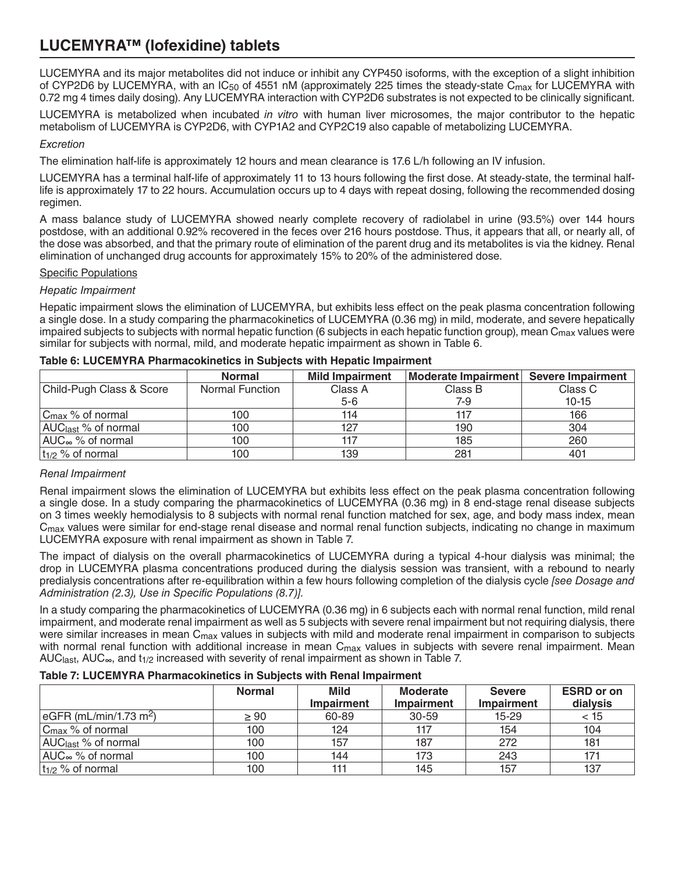LUCEMYRA and its major metabolites did not induce or inhibit any CYP450 isoforms, with the exception of a slight inhibition of CYP2D6 by LUCEMYRA, with an IC<sub>50</sub> of 4551 nM (approximately 225 times the steady-state C<sub>max</sub> for LUCEMYRA with 0.72 mg 4 times daily dosing). Any LUCEMYRA interaction with CYP2D6 substrates is not expected to be clinically significant.

LUCEMYRA is metabolized when incubated *in vitro* with human liver microsomes, the major contributor to the hepatic metabolism of LUCEMYRA is CYP2D6, with CYP1A2 and CYP2C19 also capable of metabolizing LUCEMYRA.

## *Excretion*

The elimination half-life is approximately 12 hours and mean clearance is 17.6 L/h following an IV infusion.

LUCEMYRA has a terminal half-life of approximately 11 to 13 hours following the first dose. At steady-state, the terminal halflife is approximately 17 to 22 hours. Accumulation occurs up to 4 days with repeat dosing, following the recommended dosing regimen.

A mass balance study of LUCEMYRA showed nearly complete recovery of radiolabel in urine (93.5%) over 144 hours postdose, with an additional 0.92% recovered in the feces over 216 hours postdose. Thus, it appears that all, or nearly all, of the dose was absorbed, and that the primary route of elimination of the parent drug and its metabolites is via the kidney. Renal elimination of unchanged drug accounts for approximately 15% to 20% of the administered dose.

## Specific Populations

## *Hepatic Impairment*

Hepatic impairment slows the elimination of LUCEMYRA, but exhibits less effect on the peak plasma concentration following a single dose. In a study comparing the pharmacokinetics of LUCEMYRA (0.36 mg) in mild, moderate, and severe hepatically impaired subjects to subjects with normal hepatic function (6 subjects in each hepatic function group), mean  $C_{\text{max}}$  values were similar for subjects with normal, mild, and moderate hepatic impairment as shown in Table 6.

|                                 | <b>Normal</b>   | <b>Mild Impairment</b> | Moderate Impairment Severe Impairment |           |
|---------------------------------|-----------------|------------------------|---------------------------------------|-----------|
| Child-Pugh Class & Score        | Normal Function | Class A                | Class B                               | Class C   |
|                                 |                 | $5-6$                  | 7-9                                   | $10 - 15$ |
| $C_{\text{max}}$ % of normal    | 100             | 114                    | 117                                   | 166       |
| AUC <sub>last</sub> % of normal | 100             | 127                    | 190                                   | 304       |
| AUC $\infty$ % of normal        | 100             |                        | 185                                   | 260       |
| $ t_{1/2} \rangle$ of normal    | 100             | 139                    | 281                                   | 401       |

#### **Table 6: LUCEMYRA Pharmacokinetics in Subjects with Hepatic Impairment**

## *Renal Impairment*

Renal impairment slows the elimination of LUCEMYRA but exhibits less effect on the peak plasma concentration following a single dose. In a study comparing the pharmacokinetics of LUCEMYRA (0.36 mg) in 8 end-stage renal disease subjects on 3 times weekly hemodialysis to 8 subjects with normal renal function matched for sex, age, and body mass index, mean C<sub>max</sub> values were similar for end-stage renal disease and normal renal function subjects, indicating no change in maximum LUCEMYRA exposure with renal impairment as shown in Table 7.

The impact of dialysis on the overall pharmacokinetics of LUCEMYRA during a typical 4-hour dialysis was minimal; the drop in LUCEMYRA plasma concentrations produced during the dialysis session was transient, with a rebound to nearly predialysis concentrations after re-equilibration within a few hours following completion of the dialysis cycle *[see Dosage and Administration (2.3), Use in Specific Populations (8.7)]*.

In a study comparing the pharmacokinetics of LUCEMYRA (0.36 mg) in 6 subjects each with normal renal function, mild renal impairment, and moderate renal impairment as well as 5 subjects with severe renal impairment but not requiring dialysis, there were similar increases in mean C<sub>max</sub> values in subjects with mild and moderate renal impairment in comparison to subjects with normal renal function with additional increase in mean  $C_{\text{max}}$  values in subjects with severe renal impairment. Mean AUC<sub>last</sub>, AUC<sub>∞</sub>, and t<sub>1/2</sub> increased with severity of renal impairment as shown in Table 7.

## **Table 7: LUCEMYRA Pharmacokinetics in Subjects with Renal Impairment**

|                                                    | <b>Normal</b> | <b>Mild</b><br><b>Impairment</b> | <b>Moderate</b><br><b>Impairment</b> | <b>Severe</b><br><b>Impairment</b> | <b>ESRD</b> or on<br>dialysis |
|----------------------------------------------------|---------------|----------------------------------|--------------------------------------|------------------------------------|-------------------------------|
| $\sqrt{\text{eGFR}}$ (mL/min/1.73 m <sup>2</sup> ) | $\geq 90$     | 60-89                            | $30 - 59$                            | $15 - 29$                          | < 15                          |
| $ C_{\text{max}} \%$ of normal                     | 100           | 124                              | 117                                  | 154                                | 104                           |
| AUC <sub>last</sub> % of normal                    | 100           | 157                              | 187                                  | 272                                | 181                           |
| AUC <sub>∞</sub> % of normal                       | 100           | 144                              | 173                                  | 243                                | 171                           |
| $ t_{1/2} \rangle$ of normal                       | 100           |                                  | 145                                  | 157                                | 137                           |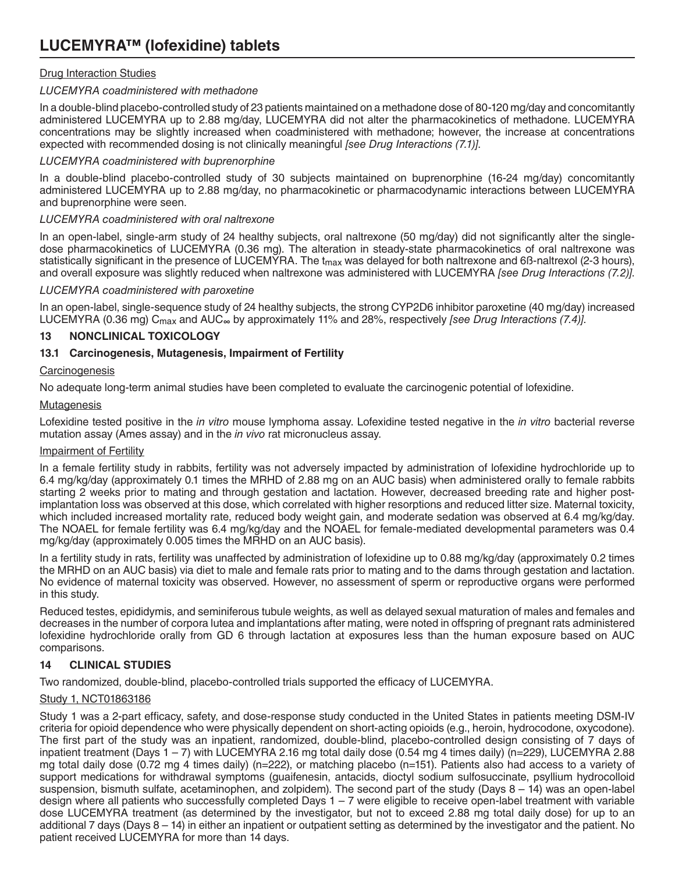## Drug Interaction Studies

## *LUCEMYRA coadministered with methadone*

In a double-blind placebo-controlled study of 23 patients maintained on a methadone dose of 80-120 mg/day and concomitantly administered LUCEMYRA up to 2.88 mg/day, LUCEMYRA did not alter the pharmacokinetics of methadone. LUCEMYRA concentrations may be slightly increased when coadministered with methadone; however, the increase at concentrations expected with recommended dosing is not clinically meaningful *[see Drug Interactions (7.1)]*.

## *LUCEMYRA coadministered with buprenorphine*

In a double-blind placebo-controlled study of 30 subjects maintained on buprenorphine (16-24 mg/day) concomitantly administered LUCEMYRA up to 2.88 mg/day, no pharmacokinetic or pharmacodynamic interactions between LUCEMYRA and buprenorphine were seen.

## *LUCEMYRA coadministered with oral naltrexone*

In an open-label, single-arm study of 24 healthy subjects, oral naltrexone (50 mg/day) did not significantly alter the singledose pharmacokinetics of LUCEMYRA (0.36 mg). The alteration in steady-state pharmacokinetics of oral naltrexone was statistically significant in the presence of LUCEMYRA. The t<sub>max</sub> was delayed for both naltrexone and 6ß-naltrexol (2-3 hours), and overall exposure was slightly reduced when naltrexone was administered with LUCEMYRA *[see Drug Interactions (7.2)]*.

## *LUCEMYRA coadministered with paroxetine*

In an open-label, single-sequence study of 24 healthy subjects, the strong CYP2D6 inhibitor paroxetine (40 mg/day) increased LUCEMYRA (0.36 mg) Cmax and AUC∞ by approximately 11% and 28%, respectively *[see Drug Interactions (7.4)]*.

## **13 NONCLINICAL TOXICOLOGY**

## **13.1 Carcinogenesis, Mutagenesis, Impairment of Fertility**

## **Carcinogenesis**

No adequate long-term animal studies have been completed to evaluate the carcinogenic potential of lofexidine.

## **Mutagenesis**

Lofexidine tested positive in the *in vitro* mouse lymphoma assay. Lofexidine tested negative in the *in vitro* bacterial reverse mutation assay (Ames assay) and in the *in vivo* rat micronucleus assay.

## Impairment of Fertility

In a female fertility study in rabbits, fertility was not adversely impacted by administration of lofexidine hydrochloride up to 6.4 mg/kg/day (approximately 0.1 times the MRHD of 2.88 mg on an AUC basis) when administered orally to female rabbits starting 2 weeks prior to mating and through gestation and lactation. However, decreased breeding rate and higher postimplantation loss was observed at this dose, which correlated with higher resorptions and reduced litter size. Maternal toxicity, which included increased mortality rate, reduced body weight gain, and moderate sedation was observed at 6.4 mg/kg/day. The NOAEL for female fertility was 6.4 mg/kg/day and the NOAEL for female-mediated developmental parameters was 0.4 mg/kg/day (approximately 0.005 times the MRHD on an AUC basis).

In a fertility study in rats, fertility was unaffected by administration of lofexidine up to 0.88 mg/kg/day (approximately 0.2 times the MRHD on an AUC basis) via diet to male and female rats prior to mating and to the dams through gestation and lactation. No evidence of maternal toxicity was observed. However, no assessment of sperm or reproductive organs were performed in this study.

Reduced testes, epididymis, and seminiferous tubule weights, as well as delayed sexual maturation of males and females and decreases in the number of corpora lutea and implantations after mating, were noted in offspring of pregnant rats administered lofexidine hydrochloride orally from GD 6 through lactation at exposures less than the human exposure based on AUC comparisons.

# **14 CLINICAL STUDIES**

Two randomized, double-blind, placebo-controlled trials supported the efficacy of LUCEMYRA.

## Study 1, NCT01863186

Study 1 was a 2-part efficacy, safety, and dose-response study conducted in the United States in patients meeting DSM-IV criteria for opioid dependence who were physically dependent on short-acting opioids (e.g., heroin, hydrocodone, oxycodone). The first part of the study was an inpatient, randomized, double-blind, placebo-controlled design consisting of 7 days of inpatient treatment (Days 1 – 7) with LUCEMYRA 2.16 mg total daily dose (0.54 mg 4 times daily) (n=229), LUCEMYRA 2.88 mg total daily dose (0.72 mg 4 times daily) (n=222), or matching placebo (n=151). Patients also had access to a variety of support medications for withdrawal symptoms (guaifenesin, antacids, dioctyl sodium sulfosuccinate, psyllium hydrocolloid suspension, bismuth sulfate, acetaminophen, and zolpidem). The second part of the study (Days 8 – 14) was an open-label design where all patients who successfully completed Days  $1 - 7$  were eligible to receive open-label treatment with variable dose LUCEMYRA treatment (as determined by the investigator, but not to exceed 2.88 mg total daily dose) for up to an additional 7 days (Days 8 – 14) in either an inpatient or outpatient setting as determined by the investigator and the patient. No patient received LUCEMYRA for more than 14 days.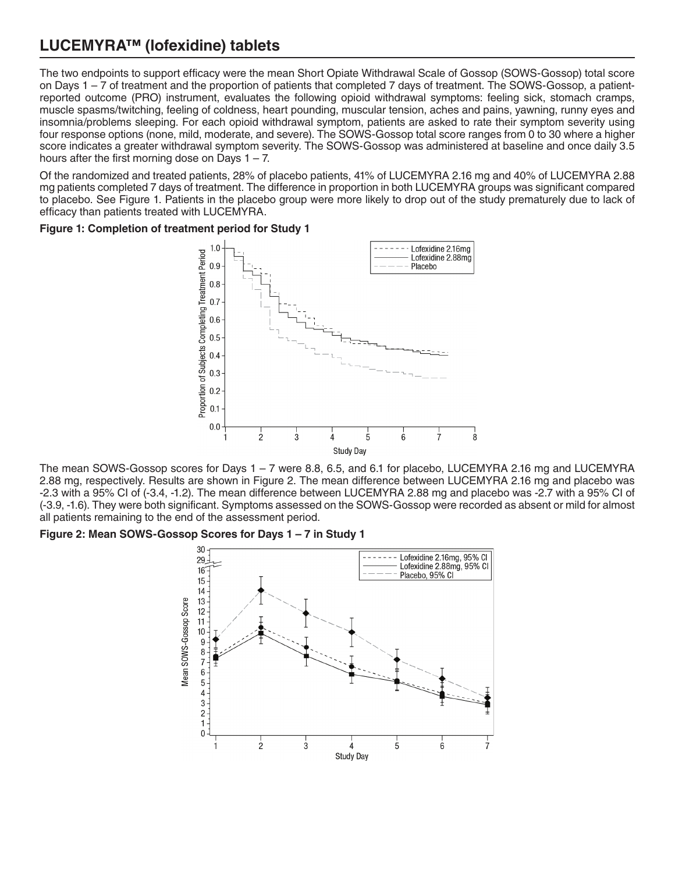The two endpoints to support efficacy were the mean Short Opiate Withdrawal Scale of Gossop (SOWS-Gossop) total score on Days 1 – 7 of treatment and the proportion of patients that completed 7 days of treatment. The SOWS-Gossop, a patientreported outcome (PRO) instrument, evaluates the following opioid withdrawal symptoms: feeling sick, stomach cramps, muscle spasms/twitching, feeling of coldness, heart pounding, muscular tension, aches and pains, yawning, runny eyes and insomnia/problems sleeping. For each opioid withdrawal symptom, patients are asked to rate their symptom severity using four response options (none, mild, moderate, and severe). The SOWS-Gossop total score ranges from 0 to 30 where a higher score indicates a greater withdrawal symptom severity. The SOWS-Gossop was administered at baseline and once daily 3.5 hours after the first morning dose on Days  $1 - 7$ .

Of the randomized and treated patients, 28% of placebo patients, 41% of LUCEMYRA 2.16 mg and 40% of LUCEMYRA 2.88 mg patients completed 7 days of treatment. The difference in proportion in both LUCEMYRA groups was significant compared to placebo. See Figure 1. Patients in the placebo group were more likely to drop out of the study prematurely due to lack of efficacy than patients treated with LUCEMYRA.

**Figure 1: Completion of treatment period for Study 1**



The mean SOWS-Gossop scores for Days 1 – 7 were 8.8, 6.5, and 6.1 for placebo, LUCEMYRA 2.16 mg and LUCEMYRA 2.88 mg, respectively. Results are shown in Figure 2. The mean difference between LUCEMYRA 2.16 mg and placebo was -2.3 with a 95% CI of (-3.4, -1.2). The mean difference between LUCEMYRA 2.88 mg and placebo was -2.7 with a 95% CI of (-3.9, -1.6). They were both significant. Symptoms assessed on the SOWS-Gossop were recorded as absent or mild for almost all patients remaining to the end of the assessment period.

### **Figure 2: Mean SOWS-Gossop Scores for Days 1 – 7 in Study 1**

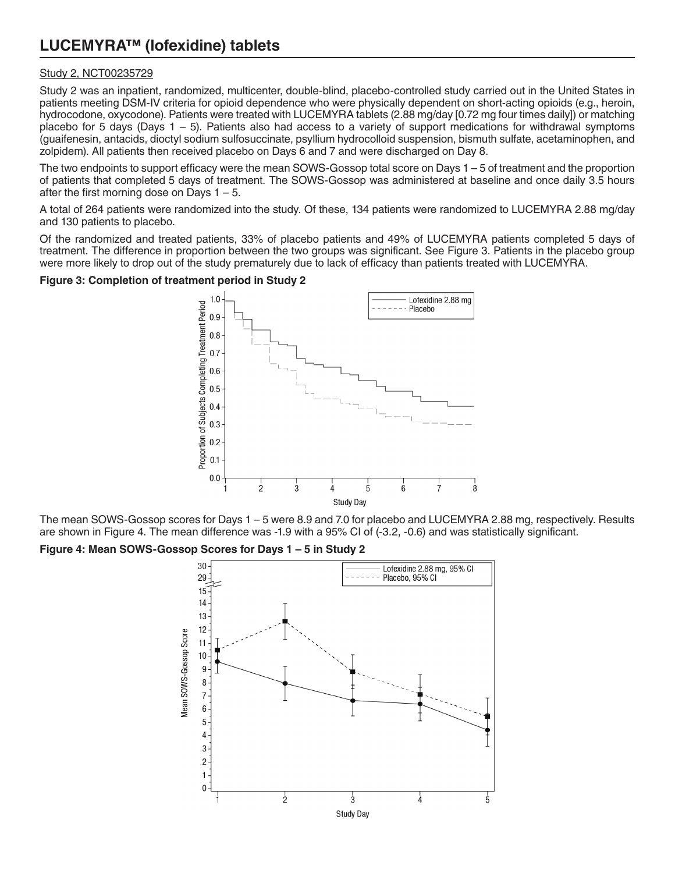## Study 2, NCT00235729

Study 2 was an inpatient, randomized, multicenter, double-blind, placebo-controlled study carried out in the United States in patients meeting DSM-IV criteria for opioid dependence who were physically dependent on short-acting opioids (e.g., heroin, hydrocodone, oxycodone). Patients were treated with LUCEMYRA tablets (2.88 mg/day [0.72 mg four times daily]) or matching placebo for 5 days (Days  $1 - 5$ ). Patients also had access to a variety of support medications for withdrawal symptoms (guaifenesin, antacids, dioctyl sodium sulfosuccinate, psyllium hydrocolloid suspension, bismuth sulfate, acetaminophen, and zolpidem). All patients then received placebo on Days 6 and 7 and were discharged on Day 8.

The two endpoints to support efficacy were the mean SOWS-Gossop total score on Days 1 – 5 of treatment and the proportion of patients that completed 5 days of treatment. The SOWS-Gossop was administered at baseline and once daily 3.5 hours after the first morning dose on Days  $1 - 5$ .

A total of 264 patients were randomized into the study. Of these, 134 patients were randomized to LUCEMYRA 2.88 mg/day and 130 patients to placebo.

Of the randomized and treated patients, 33% of placebo patients and 49% of LUCEMYRA patients completed 5 days of treatment. The difference in proportion between the two groups was significant. See Figure 3. Patients in the placebo group were more likely to drop out of the study prematurely due to lack of efficacy than patients treated with LUCEMYRA.

### **Figure 3: Completion of treatment period in Study 2**



The mean SOWS-Gossop scores for Days 1 – 5 were 8.9 and 7.0 for placebo and LUCEMYRA 2.88 mg, respectively. Results are shown in Figure 4. The mean difference was -1.9 with a 95% CI of (-3.2, -0.6) and was statistically significant.

### **Figure 4: Mean SOWS-Gossop Scores for Days 1 – 5 in Study 2**